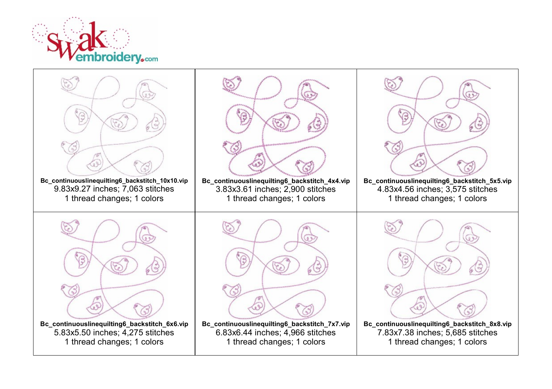

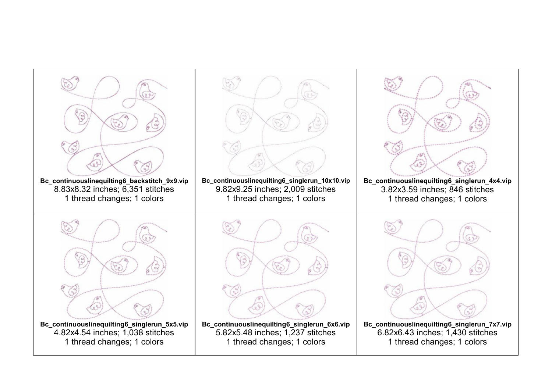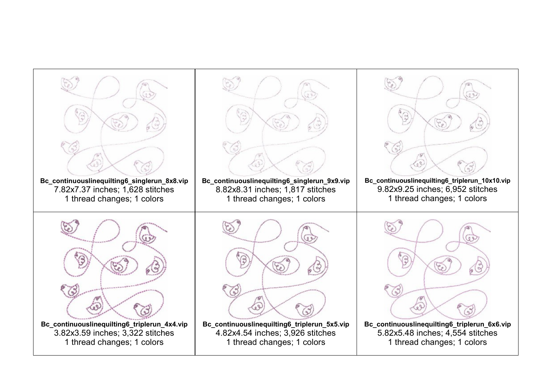